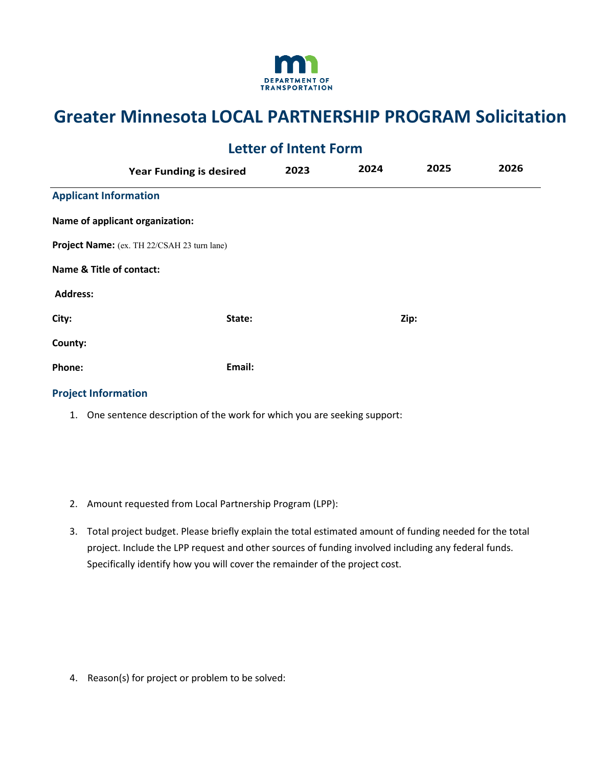

## **Greater Minnesota LOCAL PARTNERSHIP PROGRAM Solicitation**

| <b>Letter of Intent Form</b> |                                             |      |      |      |      |
|------------------------------|---------------------------------------------|------|------|------|------|
|                              | <b>Year Funding is desired</b>              | 2023 | 2024 | 2025 | 2026 |
| <b>Applicant Information</b> |                                             |      |      |      |      |
|                              | Name of applicant organization:             |      |      |      |      |
|                              | Project Name: (ex. TH 22/CSAH 23 turn lane) |      |      |      |      |
| Name & Title of contact:     |                                             |      |      |      |      |
| <b>Address:</b>              |                                             |      |      |      |      |
| City:                        | State:                                      |      |      | Zip: |      |
| County:                      |                                             |      |      |      |      |
| Phone:                       | Email:                                      |      |      |      |      |
| <b>Project Information</b>   |                                             |      |      |      |      |

- 1. One sentence description of the work for which you are seeking support:
- 2. Amount requested from Local Partnership Program (LPP):
- project. Include the LPP request and other sources of funding involved including any federal funds. Specifically identify how you will cover the remainder of the project cost. 3. Total project budget. Please briefly explain the total estimated amount of funding needed for the total

4. Reason(s) for project or problem to be solved: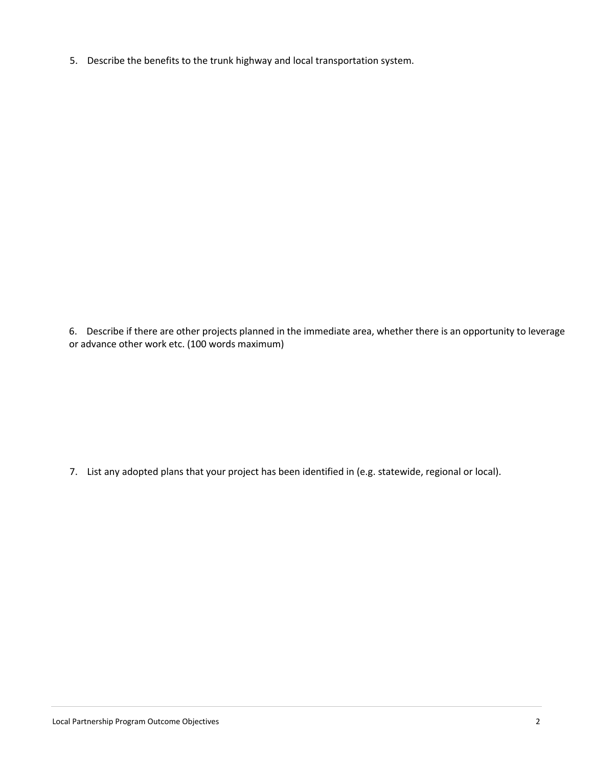5. Describe the benefits to the trunk highway and local transportation system.

 or advance other work etc. (100 words maximum) 6. Describe if there are other projects planned in the immediate area, whether there is an opportunity to leverage

7. List any adopted plans that your project has been identified in (e.g. statewide, regional or local).